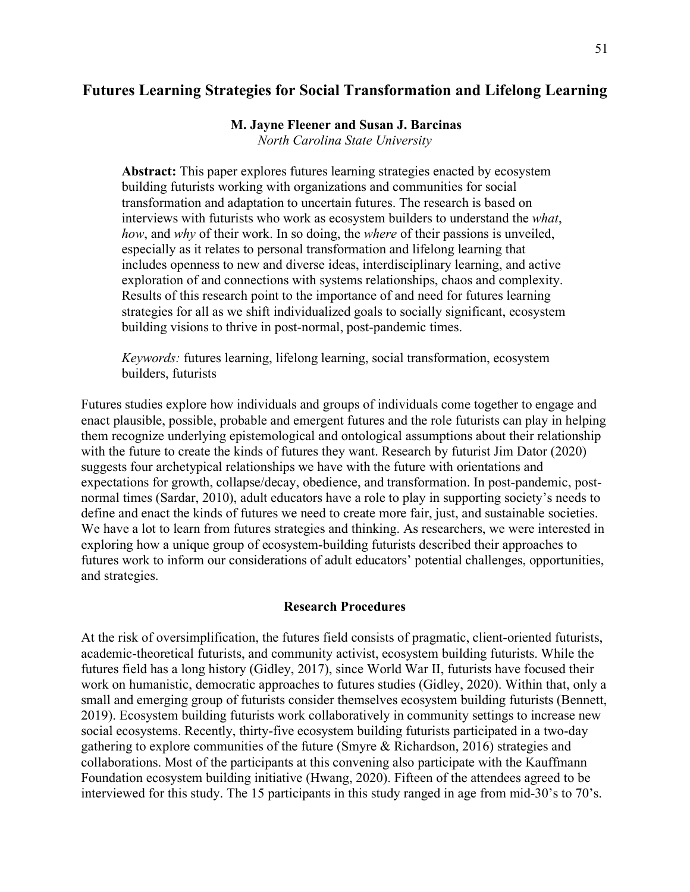# **Futures Learning Strategies for Social Transformation and Lifelong Learning**

# **M. Jayne Fleener and Susan J. Barcinas**

*North Carolina State University*

**Abstract:** This paper explores futures learning strategies enacted by ecosystem building futurists working with organizations and communities for social transformation and adaptation to uncertain futures. The research is based on interviews with futurists who work as ecosystem builders to understand the *what*, *how*, and *why* of their work. In so doing, the *where* of their passions is unveiled, especially as it relates to personal transformation and lifelong learning that includes openness to new and diverse ideas, interdisciplinary learning, and active exploration of and connections with systems relationships, chaos and complexity. Results of this research point to the importance of and need for futures learning strategies for all as we shift individualized goals to socially significant, ecosystem building visions to thrive in post-normal, post-pandemic times.

*Keywords:* futures learning, lifelong learning, social transformation, ecosystem builders, futurists

Futures studies explore how individuals and groups of individuals come together to engage and enact plausible, possible, probable and emergent futures and the role futurists can play in helping them recognize underlying epistemological and ontological assumptions about their relationship with the future to create the kinds of futures they want. Research by futurist Jim Dator (2020) suggests four archetypical relationships we have with the future with orientations and expectations for growth, collapse/decay, obedience, and transformation. In post-pandemic, postnormal times (Sardar, 2010), adult educators have a role to play in supporting society's needs to define and enact the kinds of futures we need to create more fair, just, and sustainable societies. We have a lot to learn from futures strategies and thinking. As researchers, we were interested in exploring how a unique group of ecosystem-building futurists described their approaches to futures work to inform our considerations of adult educators' potential challenges, opportunities, and strategies.

# **Research Procedures**

At the risk of oversimplification, the futures field consists of pragmatic, client-oriented futurists, academic-theoretical futurists, and community activist, ecosystem building futurists. While the futures field has a long history (Gidley, 2017), since World War II, futurists have focused their work on humanistic, democratic approaches to futures studies (Gidley, 2020). Within that, only a small and emerging group of futurists consider themselves ecosystem building futurists (Bennett, 2019). Ecosystem building futurists work collaboratively in community settings to increase new social ecosystems. Recently, thirty-five ecosystem building futurists participated in a two-day gathering to explore communities of the future (Smyre & Richardson, 2016) strategies and collaborations. Most of the participants at this convening also participate with the Kauffmann Foundation ecosystem building initiative (Hwang, 2020). Fifteen of the attendees agreed to be interviewed for this study. The 15 participants in this study ranged in age from mid-30's to 70's.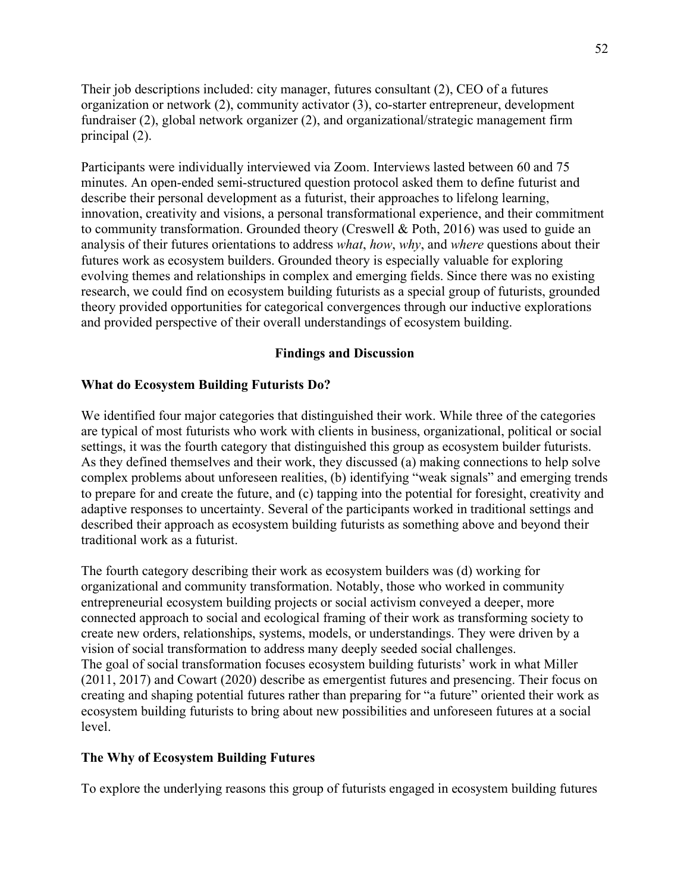Their job descriptions included: city manager, futures consultant (2), CEO of a futures organization or network (2), community activator (3), co-starter entrepreneur, development fundraiser (2), global network organizer (2), and organizational/strategic management firm principal (2).

Participants were individually interviewed via Zoom. Interviews lasted between 60 and 75 minutes. An open-ended semi-structured question protocol asked them to define futurist and describe their personal development as a futurist, their approaches to lifelong learning, innovation, creativity and visions, a personal transformational experience, and their commitment to community transformation. Grounded theory (Creswell & Poth, 2016) was used to guide an analysis of their futures orientations to address *what*, *how*, *why*, and *where* questions about their futures work as ecosystem builders. Grounded theory is especially valuable for exploring evolving themes and relationships in complex and emerging fields. Since there was no existing research, we could find on ecosystem building futurists as a special group of futurists, grounded theory provided opportunities for categorical convergences through our inductive explorations and provided perspective of their overall understandings of ecosystem building.

# **Findings and Discussion**

## **What do Ecosystem Building Futurists Do?**

We identified four major categories that distinguished their work. While three of the categories are typical of most futurists who work with clients in business, organizational, political or social settings, it was the fourth category that distinguished this group as ecosystem builder futurists. As they defined themselves and their work, they discussed (a) making connections to help solve complex problems about unforeseen realities, (b) identifying "weak signals" and emerging trends to prepare for and create the future, and (c) tapping into the potential for foresight, creativity and adaptive responses to uncertainty. Several of the participants worked in traditional settings and described their approach as ecosystem building futurists as something above and beyond their traditional work as a futurist.

The fourth category describing their work as ecosystem builders was (d) working for organizational and community transformation. Notably, those who worked in community entrepreneurial ecosystem building projects or social activism conveyed a deeper, more connected approach to social and ecological framing of their work as transforming society to create new orders, relationships, systems, models, or understandings. They were driven by a vision of social transformation to address many deeply seeded social challenges. The goal of social transformation focuses ecosystem building futurists' work in what Miller (2011, 2017) and Cowart (2020) describe as emergentist futures and presencing. Their focus on creating and shaping potential futures rather than preparing for "a future" oriented their work as ecosystem building futurists to bring about new possibilities and unforeseen futures at a social level.

## **The Why of Ecosystem Building Futures**

To explore the underlying reasons this group of futurists engaged in ecosystem building futures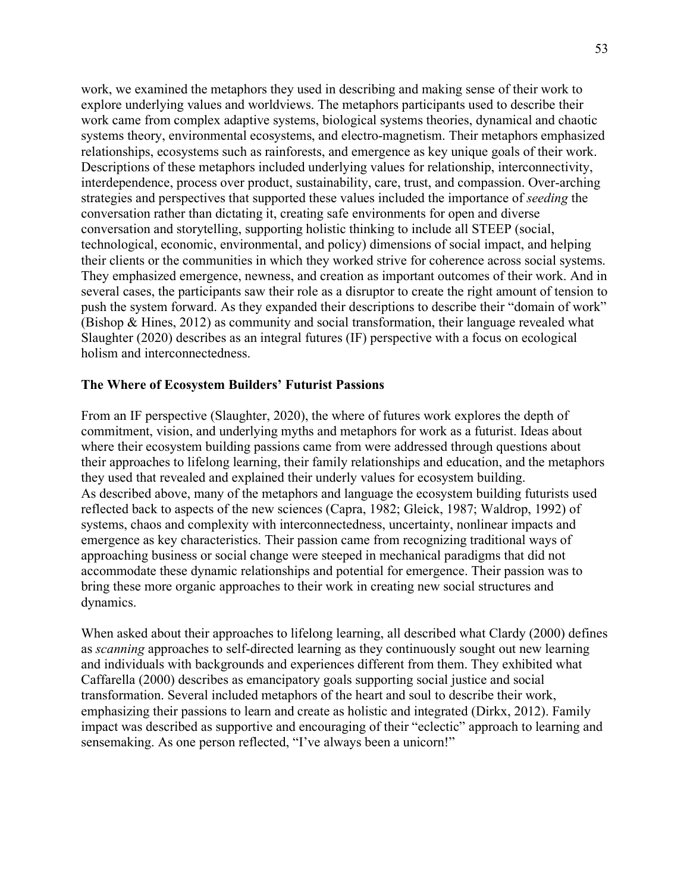work, we examined the metaphors they used in describing and making sense of their work to explore underlying values and worldviews. The metaphors participants used to describe their work came from complex adaptive systems, biological systems theories, dynamical and chaotic systems theory, environmental ecosystems, and electro-magnetism. Their metaphors emphasized relationships, ecosystems such as rainforests, and emergence as key unique goals of their work. Descriptions of these metaphors included underlying values for relationship, interconnectivity, interdependence, process over product, sustainability, care, trust, and compassion. Over-arching strategies and perspectives that supported these values included the importance of *seeding* the conversation rather than dictating it, creating safe environments for open and diverse conversation and storytelling, supporting holistic thinking to include all STEEP (social, technological, economic, environmental, and policy) dimensions of social impact, and helping their clients or the communities in which they worked strive for coherence across social systems. They emphasized emergence, newness, and creation as important outcomes of their work. And in several cases, the participants saw their role as a disruptor to create the right amount of tension to push the system forward. As they expanded their descriptions to describe their "domain of work" (Bishop & Hines, 2012) as community and social transformation, their language revealed what Slaughter (2020) describes as an integral futures (IF) perspective with a focus on ecological holism and interconnectedness.

# **The Where of Ecosystem Builders' Futurist Passions**

From an IF perspective (Slaughter, 2020), the where of futures work explores the depth of commitment, vision, and underlying myths and metaphors for work as a futurist. Ideas about where their ecosystem building passions came from were addressed through questions about their approaches to lifelong learning, their family relationships and education, and the metaphors they used that revealed and explained their underly values for ecosystem building. As described above, many of the metaphors and language the ecosystem building futurists used reflected back to aspects of the new sciences (Capra, 1982; Gleick, 1987; Waldrop, 1992) of systems, chaos and complexity with interconnectedness, uncertainty, nonlinear impacts and emergence as key characteristics. Their passion came from recognizing traditional ways of approaching business or social change were steeped in mechanical paradigms that did not accommodate these dynamic relationships and potential for emergence. Their passion was to bring these more organic approaches to their work in creating new social structures and dynamics.

When asked about their approaches to lifelong learning, all described what Clardy (2000) defines as *scanning* approaches to self-directed learning as they continuously sought out new learning and individuals with backgrounds and experiences different from them. They exhibited what Caffarella (2000) describes as emancipatory goals supporting social justice and social transformation. Several included metaphors of the heart and soul to describe their work, emphasizing their passions to learn and create as holistic and integrated (Dirkx, 2012). Family impact was described as supportive and encouraging of their "eclectic" approach to learning and sensemaking. As one person reflected, "I've always been a unicorn!"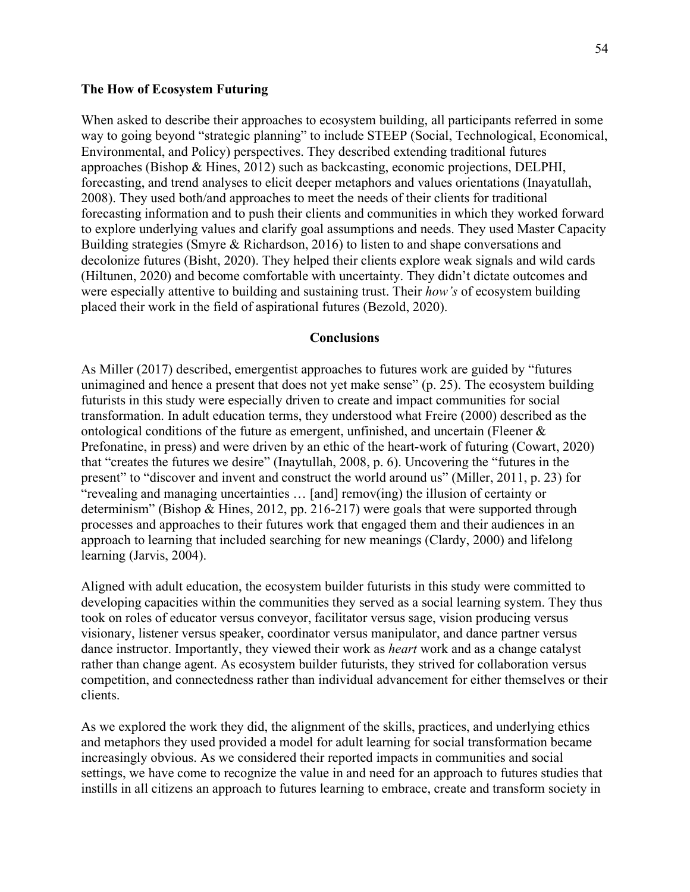#### **The How of Ecosystem Futuring**

When asked to describe their approaches to ecosystem building, all participants referred in some way to going beyond "strategic planning" to include STEEP (Social, Technological, Economical, Environmental, and Policy) perspectives. They described extending traditional futures approaches (Bishop & Hines, 2012) such as backcasting, economic projections, DELPHI, forecasting, and trend analyses to elicit deeper metaphors and values orientations (Inayatullah, 2008). They used both/and approaches to meet the needs of their clients for traditional forecasting information and to push their clients and communities in which they worked forward to explore underlying values and clarify goal assumptions and needs. They used Master Capacity Building strategies (Smyre & Richardson, 2016) to listen to and shape conversations and decolonize futures (Bisht, 2020). They helped their clients explore weak signals and wild cards (Hiltunen, 2020) and become comfortable with uncertainty. They didn't dictate outcomes and were especially attentive to building and sustaining trust. Their *how's* of ecosystem building placed their work in the field of aspirational futures (Bezold, 2020).

#### **Conclusions**

As Miller (2017) described, emergentist approaches to futures work are guided by "futures unimagined and hence a present that does not yet make sense" (p. 25). The ecosystem building futurists in this study were especially driven to create and impact communities for social transformation. In adult education terms, they understood what Freire (2000) described as the ontological conditions of the future as emergent, unfinished, and uncertain (Fleener & Prefonatine, in press) and were driven by an ethic of the heart-work of futuring (Cowart, 2020) that "creates the futures we desire" (Inaytullah, 2008, p. 6). Uncovering the "futures in the present" to "discover and invent and construct the world around us" (Miller, 2011, p. 23) for "revealing and managing uncertainties … [and] remov(ing) the illusion of certainty or determinism" (Bishop & Hines, 2012, pp. 216-217) were goals that were supported through processes and approaches to their futures work that engaged them and their audiences in an approach to learning that included searching for new meanings (Clardy, 2000) and lifelong learning (Jarvis, 2004).

Aligned with adult education, the ecosystem builder futurists in this study were committed to developing capacities within the communities they served as a social learning system. They thus took on roles of educator versus conveyor, facilitator versus sage, vision producing versus visionary, listener versus speaker, coordinator versus manipulator, and dance partner versus dance instructor. Importantly, they viewed their work as *heart* work and as a change catalyst rather than change agent. As ecosystem builder futurists, they strived for collaboration versus competition, and connectedness rather than individual advancement for either themselves or their clients.

As we explored the work they did, the alignment of the skills, practices, and underlying ethics and metaphors they used provided a model for adult learning for social transformation became increasingly obvious. As we considered their reported impacts in communities and social settings, we have come to recognize the value in and need for an approach to futures studies that instills in all citizens an approach to futures learning to embrace, create and transform society in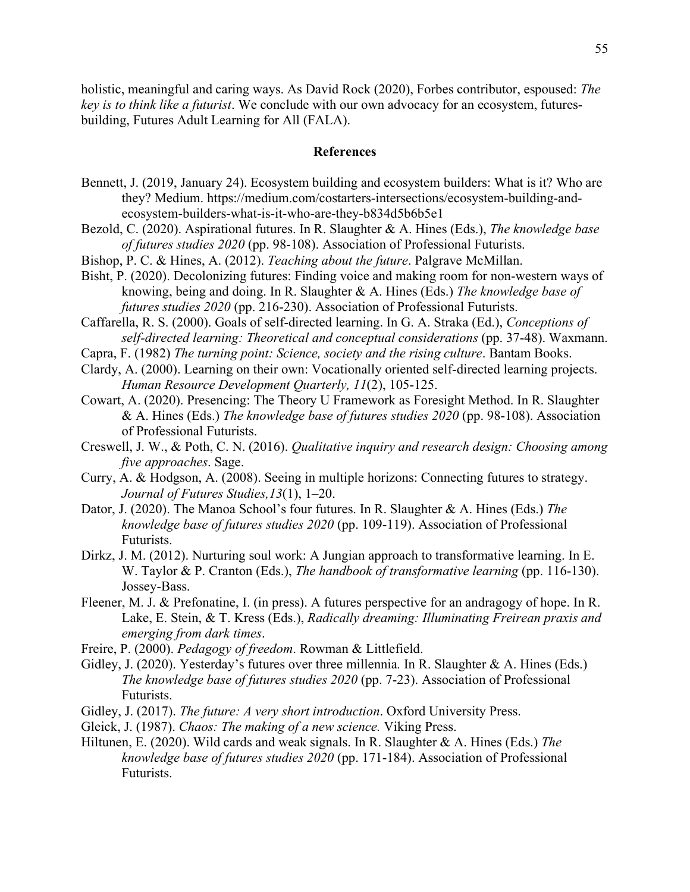holistic, meaningful and caring ways. As David Rock (2020), Forbes contributor, espoused: *The key is to think like a futurist*. We conclude with our own advocacy for an ecosystem, futuresbuilding, Futures Adult Learning for All (FALA).

#### **References**

- Bennett, J. (2019, January 24). Ecosystem building and ecosystem builders: What is it? Who are they? Medium. https://medium.com/costarters-intersections/ecosystem-building-andecosystem-builders-what-is-it-who-are-they-b834d5b6b5e1
- Bezold, C. (2020). Aspirational futures. In R. Slaughter & A. Hines (Eds.), *The knowledge base of futures studies 2020* (pp. 98-108). Association of Professional Futurists.
- Bishop, P. C. & Hines, A. (2012). *Teaching about the future*. Palgrave McMillan.
- Bisht, P. (2020). Decolonizing futures: Finding voice and making room for non-western ways of knowing, being and doing. In R. Slaughter & A. Hines (Eds.) *The knowledge base of futures studies 2020* (pp. 216-230). Association of Professional Futurists.
- Caffarella, R. S. (2000). Goals of self-directed learning. In G. A. Straka (Ed.), *Conceptions of self-directed learning: Theoretical and conceptual considerations* (pp. 37-48). Waxmann.
- Capra, F. (1982) *The turning point: Science, society and the rising culture*. Bantam Books.
- Clardy, A. (2000). Learning on their own: Vocationally oriented self-directed learning projects. *Human Resource Development Quarterly, 11*(2), 105-125.
- Cowart, A. (2020). Presencing: The Theory U Framework as Foresight Method. In R. Slaughter & A. Hines (Eds.) *The knowledge base of futures studies 2020* (pp. 98-108). Association of Professional Futurists.
- Creswell, J. W., & Poth, C. N. (2016). *Qualitative inquiry and research design: Choosing among five approaches*. Sage.
- Curry, A. & Hodgson, A. (2008). Seeing in multiple horizons: Connecting futures to strategy. *Journal of Futures Studies,13*(1), 1–20.
- Dator, J. (2020). The Manoa School's four futures. In R. Slaughter & A. Hines (Eds.) *The knowledge base of futures studies 2020* (pp. 109-119). Association of Professional Futurists.
- Dirkz, J. M. (2012). Nurturing soul work: A Jungian approach to transformative learning. In E. W. Taylor & P. Cranton (Eds.), *The handbook of transformative learning* (pp. 116-130). Jossey-Bass.
- Fleener, M. J. & Prefonatine, I. (in press). A futures perspective for an andragogy of hope. In R. Lake, E. Stein, & T. Kress (Eds.), *Radically dreaming: Illuminating Freirean praxis and emerging from dark times*.
- Freire, P. (2000). *Pedagogy of freedom*. Rowman & Littlefield.
- Gidley, J. (2020). Yesterday's futures over three millennia*.* In R. Slaughter & A. Hines (Eds.) *The knowledge base of futures studies 2020* (pp. 7-23). Association of Professional Futurists.
- Gidley, J. (2017). *The future: A very short introduction*. Oxford University Press.
- Gleick, J. (1987). *Chaos: The making of a new science.* Viking Press.
- Hiltunen, E. (2020). Wild cards and weak signals. In R. Slaughter & A. Hines (Eds.) *The knowledge base of futures studies 2020* (pp. 171-184). Association of Professional Futurists.